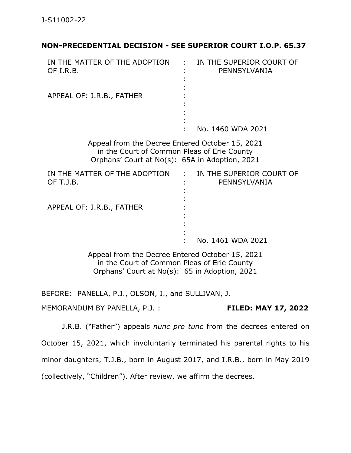## **NON-PRECEDENTIAL DECISION - SEE SUPERIOR COURT I.O.P. 65.37**

| IN THE MATTER OF THE ADOPTION<br>OF I.R.B.                                                                                                       | IN THE SUPERIOR COURT OF<br>PENNSYLVANIA   |
|--------------------------------------------------------------------------------------------------------------------------------------------------|--------------------------------------------|
| APPEAL OF: J.R.B., FATHER                                                                                                                        |                                            |
|                                                                                                                                                  | No. 1460 WDA 2021                          |
| Appeal from the Decree Entered October 15, 2021<br>in the Court of Common Pleas of Erie County<br>Orphans' Court at No(s): 65A in Adoption, 2021 |                                            |
| IN THE MATTER OF THE ADOPTION<br>OF T.J.B.                                                                                                       | : IN THE SUPERIOR COURT OF<br>PENNSYLVANIA |
| APPEAL OF: J.R.B., FATHER                                                                                                                        | No. 1461 WDA 2021                          |
|                                                                                                                                                  |                                            |
| Appeal from the Decree Entered October 15, 2021                                                                                                  |                                            |

in the Court of Common Pleas of Erie County Orphans' Court at No(s): 65 in Adoption, 2021

BEFORE: PANELLA, P.J., OLSON, J., and SULLIVAN, J.

MEMORANDUM BY PANELLA, P.J. : **FILED: MAY 17, 2022**

J.R.B. ("Father") appeals *nunc pro tunc* from the decrees entered on October 15, 2021, which involuntarily terminated his parental rights to his minor daughters, T.J.B., born in August 2017, and I.R.B., born in May 2019 (collectively, "Children"). After review, we affirm the decrees.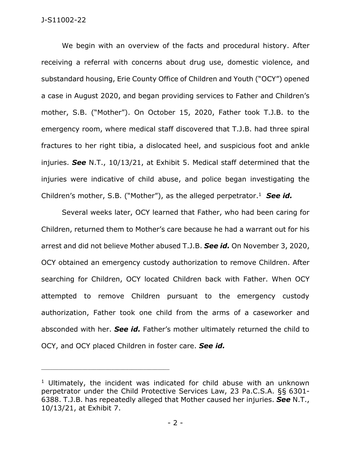### J-S11002-22

We begin with an overview of the facts and procedural history. After receiving a referral with concerns about drug use, domestic violence, and substandard housing, Erie County Office of Children and Youth ("OCY") opened a case in August 2020, and began providing services to Father and Children's mother, S.B. ("Mother"). On October 15, 2020, Father took T.J.B. to the emergency room, where medical staff discovered that T.J.B. had three spiral fractures to her right tibia, a dislocated heel, and suspicious foot and ankle injuries. *See* N.T., 10/13/21, at Exhibit 5. Medical staff determined that the injuries were indicative of child abuse, and police began investigating the Children's mother, S.B. ("Mother"), as the alleged perpetrator.<sup>1</sup> See id.

Several weeks later, OCY learned that Father, who had been caring for Children, returned them to Mother's care because he had a warrant out for his arrest and did not believe Mother abused T.J.B. *See id.* On November 3, 2020, OCY obtained an emergency custody authorization to remove Children. After searching for Children, OCY located Children back with Father. When OCY attempted to remove Children pursuant to the emergency custody authorization, Father took one child from the arms of a caseworker and absconded with her. *See id.* Father's mother ultimately returned the child to OCY, and OCY placed Children in foster care. *See id.*

\_\_\_\_\_\_\_\_\_\_\_\_\_\_\_\_\_\_\_\_\_\_\_\_\_\_\_\_\_\_\_\_\_\_\_\_\_\_\_\_\_\_\_\_

<sup>&</sup>lt;sup>1</sup> Ultimately, the incident was indicated for child abuse with an unknown perpetrator under the Child Protective Services Law, 23 Pa.C.S.A. §§ 6301- 6388. T.J.B. has repeatedly alleged that Mother caused her injuries. *See* N.T., 10/13/21, at Exhibit 7.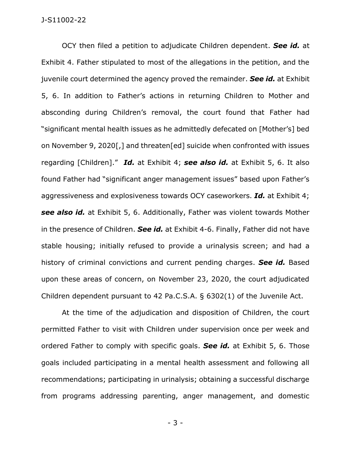#### J-S11002-22

OCY then filed a petition to adjudicate Children dependent. *See id.* at Exhibit 4. Father stipulated to most of the allegations in the petition, and the juvenile court determined the agency proved the remainder. *See id.* at Exhibit 5, 6. In addition to Father's actions in returning Children to Mother and absconding during Children's removal, the court found that Father had "significant mental health issues as he admittedly defecated on [Mother's] bed on November 9, 2020[,] and threaten[ed] suicide when confronted with issues regarding [Children]." *Id.* at Exhibit 4; *see also id.* at Exhibit 5, 6. It also found Father had "significant anger management issues" based upon Father's aggressiveness and explosiveness towards OCY caseworkers. *Id.* at Exhibit 4; *see also id.* at Exhibit 5, 6. Additionally, Father was violent towards Mother in the presence of Children. *See id.* at Exhibit 4-6. Finally, Father did not have stable housing; initially refused to provide a urinalysis screen; and had a history of criminal convictions and current pending charges. *See id.* Based upon these areas of concern, on November 23, 2020, the court adjudicated Children dependent pursuant to 42 Pa.C.S.A. § 6302(1) of the Juvenile Act.

At the time of the adjudication and disposition of Children, the court permitted Father to visit with Children under supervision once per week and ordered Father to comply with specific goals. *See id.* at Exhibit 5, 6. Those goals included participating in a mental health assessment and following all recommendations; participating in urinalysis; obtaining a successful discharge from programs addressing parenting, anger management, and domestic

- 3 -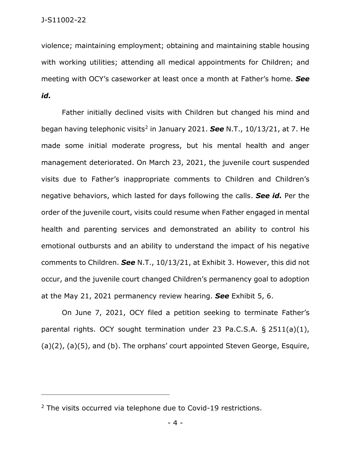violence; maintaining employment; obtaining and maintaining stable housing with working utilities; attending all medical appointments for Children; and meeting with OCY's caseworker at least once a month at Father's home. *See id.* 

Father initially declined visits with Children but changed his mind and began having telephonic visits<sup>2</sup> in January 2021. See N.T., 10/13/21, at 7. He made some initial moderate progress, but his mental health and anger management deteriorated. On March 23, 2021, the juvenile court suspended visits due to Father's inappropriate comments to Children and Children's negative behaviors, which lasted for days following the calls. *See id.* Per the order of the juvenile court, visits could resume when Father engaged in mental health and parenting services and demonstrated an ability to control his emotional outbursts and an ability to understand the impact of his negative comments to Children. *See* N.T., 10/13/21, at Exhibit 3. However, this did not occur, and the juvenile court changed Children's permanency goal to adoption at the May 21, 2021 permanency review hearing. *See* Exhibit 5, 6.

On June 7, 2021, OCY filed a petition seeking to terminate Father's parental rights. OCY sought termination under 23 Pa.C.S.A. § 2511(a)(1), (a)(2), (a)(5), and (b). The orphans' court appointed Steven George, Esquire,

\_\_\_\_\_\_\_\_\_\_\_\_\_\_\_\_\_\_\_\_\_\_\_\_\_\_\_\_\_\_\_\_\_\_\_\_\_\_\_\_\_\_\_\_

<sup>&</sup>lt;sup>2</sup> The visits occurred via telephone due to Covid-19 restrictions.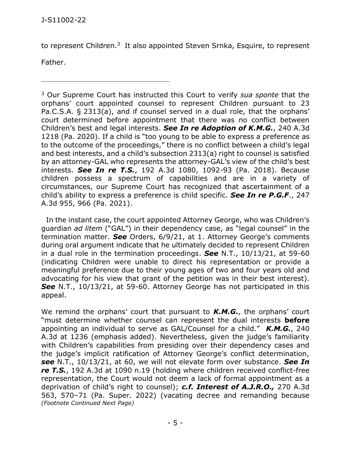\_\_\_\_\_\_\_\_\_\_\_\_\_\_\_\_\_\_\_\_\_\_\_\_\_\_\_\_\_\_\_\_\_\_\_\_\_\_\_\_\_\_\_\_

to represent Children.<sup>3</sup> It also appointed Steven Srnka, Esquire, to represent

Father.

<sup>3</sup> Our Supreme Court has instructed this Court to verify *sua sponte* that the orphans' court appointed counsel to represent Children pursuant to 23 Pa.C.S.A. § 2313(a), and if counsel served in a dual role, that the orphans' court determined before appointment that there was no conflict between Children's best and legal interests. *See In re Adoption of K.M.G.*, 240 A.3d 1218 (Pa. 2020). If a child is "too young to be able to express a preference as to the outcome of the proceedings," there is no conflict between a child's legal and best interests, and a child's subsection 2313(a) right to counsel is satisfied by an attorney-GAL who represents the attorney-GAL's view of the child's best interests. *See In re T.S.*, 192 A.3d 1080, 1092-93 (Pa. 2018). Because children possess a spectrum of capabilities and are in a variety of circumstances, our Supreme Court has recognized that ascertainment of a child's ability to express a preference is child specific. *See In re P.G.F*., 247 A.3d 955, 966 (Pa. 2021).

 In the instant case, the court appointed Attorney George, who was Children's guardian *ad litem* ("GAL") in their dependency case, as "legal counsel" in the termination matter. *See* Orders, 6/9/21, at 1. Attorney George's comments during oral argument indicate that he ultimately decided to represent Children in a dual role in the termination proceedings. *See* N.T., 10/13/21, at 59-60 (indicating Children were unable to direct his representation or provide a meaningful preference due to their young ages of two and four years old and advocating for his view that grant of the petition was in their best interest). *See* N.T., 10/13/21, at 59-60. Attorney George has not participated in this appeal.

We remind the orphans' court that pursuant to *K.M.G.*, the orphans' court "must determine whether counsel can represent the dual interests **before** appointing an individual to serve as GAL/Counsel for a child." *K.M.G.*, 240 A.3d at 1236 (emphasis added). Nevertheless, given the judge's familiarity with Children's capabilities from presiding over their dependency cases and the judge's implicit ratification of Attorney George's conflict determination, *see* N.T., 10/13/21, at 60, we will not elevate form over substance. *See In re T.S.*, 192 A.3d at 1090 n.19 (holding where children received conflict-free representation, the Court would not deem a lack of formal appointment as a deprivation of child's right to counsel); *c.f. Interest of A.J.R.O.,* 270 A.3d 563, 570–71 (Pa. Super. 2022) (vacating decree and remanding because *(Footnote Continued Next Page)*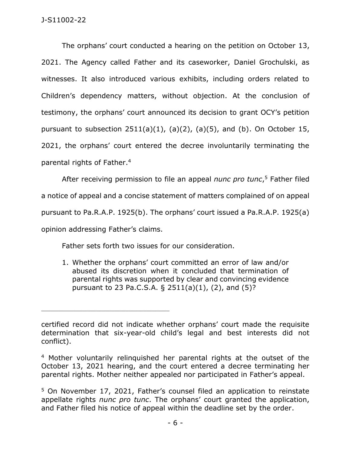The orphans' court conducted a hearing on the petition on October 13, 2021. The Agency called Father and its caseworker, Daniel Grochulski, as witnesses. It also introduced various exhibits, including orders related to Children's dependency matters, without objection. At the conclusion of testimony, the orphans' court announced its decision to grant OCY's petition pursuant to subsection  $2511(a)(1)$ ,  $(a)(2)$ ,  $(a)(5)$ , and  $(b)$ . On October 15, 2021, the orphans' court entered the decree involuntarily terminating the parental rights of Father. 4

After receiving permission to file an appeal *nunc pro tunc*, <sup>5</sup> Father filed a notice of appeal and a concise statement of matters complained of on appeal pursuant to Pa.R.A.P. 1925(b). The orphans' court issued a Pa.R.A.P. 1925(a) opinion addressing Father's claims.

Father sets forth two issues for our consideration.

\_\_\_\_\_\_\_\_\_\_\_\_\_\_\_\_\_\_\_\_\_\_\_\_\_\_\_\_\_\_\_\_\_\_\_\_\_\_\_\_\_\_\_\_

1. Whether the orphans' court committed an error of law and/or abused its discretion when it concluded that termination of parental rights was supported by clear and convincing evidence pursuant to 23 Pa.C.S.A. § 2511(a)(1), (2), and (5)?

certified record did not indicate whether orphans' court made the requisite determination that six-year-old child's legal and best interests did not conflict).

<sup>4</sup> Mother voluntarily relinquished her parental rights at the outset of the October 13, 2021 hearing, and the court entered a decree terminating her parental rights. Mother neither appealed nor participated in Father's appeal.

<sup>5</sup> On November 17, 2021, Father's counsel filed an application to reinstate appellate rights *nunc pro tunc*. The orphans' court granted the application, and Father filed his notice of appeal within the deadline set by the order.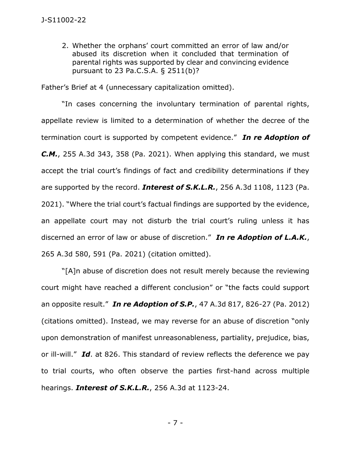2. Whether the orphans' court committed an error of law and/or abused its discretion when it concluded that termination of parental rights was supported by clear and convincing evidence pursuant to 23 Pa.C.S.A. § 2511(b)?

Father's Brief at 4 (unnecessary capitalization omitted).

"In cases concerning the involuntary termination of parental rights, appellate review is limited to a determination of whether the decree of the termination court is supported by competent evidence." *In re Adoption of C.M.*, 255 A.3d 343, 358 (Pa. 2021). When applying this standard, we must accept the trial court's findings of fact and credibility determinations if they are supported by the record. *Interest of S.K.L.R.*, 256 A.3d 1108, 1123 (Pa. 2021). "Where the trial court's factual findings are supported by the evidence, an appellate court may not disturb the trial court's ruling unless it has discerned an error of law or abuse of discretion." *In re Adoption of L.A.K.*, 265 A.3d 580, 591 (Pa. 2021) (citation omitted).

"[A]n abuse of discretion does not result merely because the reviewing court might have reached a different conclusion" or "the facts could support an opposite result." *In re Adoption of S.P.*, 47 A.3d 817, 826-27 (Pa. 2012) (citations omitted). Instead, we may reverse for an abuse of discretion "only upon demonstration of manifest unreasonableness, partiality, prejudice, bias, or ill-will." *Id*. at 826. This standard of review reflects the deference we pay to trial courts, who often observe the parties first-hand across multiple hearings. *Interest of S.K.L.R.*, 256 A.3d at 1123-24.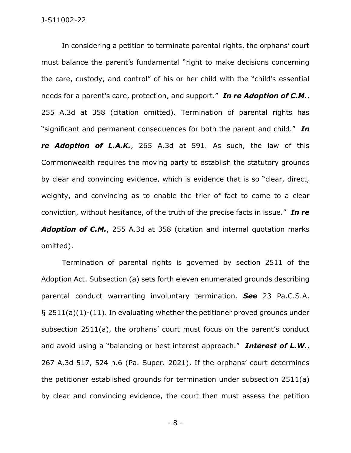In considering a petition to terminate parental rights, the orphans' court must balance the parent's fundamental "right to make decisions concerning the care, custody, and control" of his or her child with the "child's essential needs for a parent's care, protection, and support." *In re Adoption of C.M.*, 255 A.3d at 358 (citation omitted). Termination of parental rights has "significant and permanent consequences for both the parent and child." *In re Adoption of L.A.K.*, 265 A.3d at 591. As such, the law of this Commonwealth requires the moving party to establish the statutory grounds by clear and convincing evidence, which is evidence that is so "clear, direct, weighty, and convincing as to enable the trier of fact to come to a clear conviction, without hesitance, of the truth of the precise facts in issue." *In re Adoption of C.M.*, 255 A.3d at 358 (citation and internal quotation marks omitted).

Termination of parental rights is governed by section 2511 of the Adoption Act. Subsection (a) sets forth eleven enumerated grounds describing parental conduct warranting involuntary termination. *See* 23 Pa.C.S.A. § 2511(a)(1)-(11). In evaluating whether the petitioner proved grounds under subsection 2511(a), the orphans' court must focus on the parent's conduct and avoid using a "balancing or best interest approach." *Interest of L.W.*, 267 A.3d 517, 524 n.6 (Pa. Super. 2021). If the orphans' court determines the petitioner established grounds for termination under subsection 2511(a) by clear and convincing evidence, the court then must assess the petition

- 8 -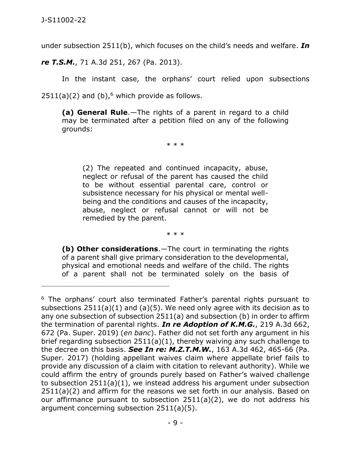under subsection 2511(b), which focuses on the child's needs and welfare. *In* 

*re T.S.M.*, 71 A.3d 251, 267 (Pa. 2013).

\_\_\_\_\_\_\_\_\_\_\_\_\_\_\_\_\_\_\_\_\_\_\_\_\_\_\_\_\_\_\_\_\_\_\_\_\_\_\_\_\_\_\_\_

In the instant case, the orphans' court relied upon subsections

 $2511(a)(2)$  and (b),<sup>6</sup> which provide as follows.

**(a) General Rule**.—The rights of a parent in regard to a child may be terminated after a petition filed on any of the following grounds:

\* \* \*

(2) The repeated and continued incapacity, abuse, neglect or refusal of the parent has caused the child to be without essential parental care, control or subsistence necessary for his physical or mental wellbeing and the conditions and causes of the incapacity, abuse, neglect or refusal cannot or will not be remedied by the parent.

\* \* \*

**(b) Other considerations**.—The court in terminating the rights of a parent shall give primary consideration to the developmental, physical and emotional needs and welfare of the child. The rights of a parent shall not be terminated solely on the basis of

<sup>&</sup>lt;sup>6</sup> The orphans' court also terminated Father's parental rights pursuant to subsections 2511(a)(1) and (a)(5). We need only agree with its decision as to any one subsection of subsection 2511(a) and subsection (b) in order to affirm the termination of parental rights. *In re Adoption of K.M.G.*, 219 A.3d 662, 672 (Pa. Super. 2019) (*en banc*). Father did not set forth any argument in his brief regarding subsection 2511(a)(1), thereby waiving any such challenge to the decree on this basis. *See In re: M.Z.T.M.W.*, 163 A.3d 462, 465-66 (Pa. Super. 2017) (holding appellant waives claim where appellate brief fails to provide any discussion of a claim with citation to relevant authority). While we could affirm the entry of grounds purely based on Father's waived challenge to subsection 2511(a)(1), we instead address his argument under subsection 2511(a)(2) and affirm for the reasons we set forth in our analysis. Based on our affirmance pursuant to subsection 2511(a)(2), we do not address his argument concerning subsection 2511(a)(5).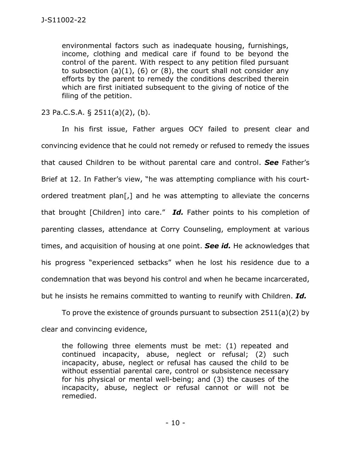environmental factors such as inadequate housing, furnishings, income, clothing and medical care if found to be beyond the control of the parent. With respect to any petition filed pursuant to subsection  $(a)(1)$ ,  $(b)$  or  $(8)$ , the court shall not consider any efforts by the parent to remedy the conditions described therein which are first initiated subsequent to the giving of notice of the filing of the petition.

23 Pa.C.S.A. § 2511(a)(2), (b).

In his first issue, Father argues OCY failed to present clear and convincing evidence that he could not remedy or refused to remedy the issues that caused Children to be without parental care and control. *See* Father's Brief at 12. In Father's view, "he was attempting compliance with his courtordered treatment plan[,] and he was attempting to alleviate the concerns that brought [Children] into care." *Id.* Father points to his completion of parenting classes, attendance at Corry Counseling, employment at various times, and acquisition of housing at one point. *See id.* He acknowledges that his progress "experienced setbacks" when he lost his residence due to a condemnation that was beyond his control and when he became incarcerated, but he insists he remains committed to wanting to reunify with Children. *Id.*

To prove the existence of grounds pursuant to subsection 2511(a)(2) by clear and convincing evidence,

the following three elements must be met: (1) repeated and continued incapacity, abuse, neglect or refusal; (2) such incapacity, abuse, neglect or refusal has caused the child to be without essential parental care, control or subsistence necessary for his physical or mental well-being; and (3) the causes of the incapacity, abuse, neglect or refusal cannot or will not be remedied.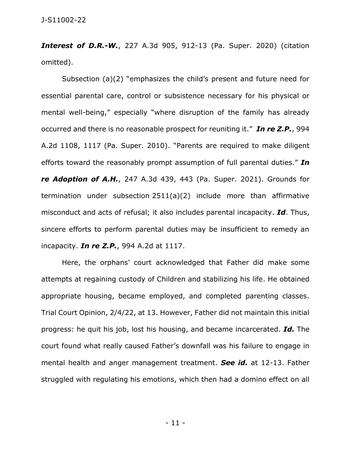*Interest of D.R.-W.*, 227 A.3d 905, 912-13 (Pa. Super. 2020) (citation omitted).

Subsection (a)(2) "emphasizes the child's present and future need for essential parental care, control or subsistence necessary for his physical or mental well-being," especially "where disruption of the family has already occurred and there is no reasonable prospect for reuniting it." *In re Z.P.*, 994 A.2d 1108, 1117 (Pa. Super. 2010). "Parents are required to make diligent efforts toward the reasonably prompt assumption of full parental duties." *In re Adoption of A.H.*, 247 A.3d 439, 443 (Pa. Super. 2021). Grounds for termination under subsection 2511(a)(2) include more than affirmative misconduct and acts of refusal; it also includes parental incapacity. *Id*. Thus, sincere efforts to perform parental duties may be insufficient to remedy an incapacity. *In re Z.P.*, 994 A.2d at 1117.

Here, the orphans' court acknowledged that Father did make some attempts at regaining custody of Children and stabilizing his life. He obtained appropriate housing, became employed, and completed parenting classes. Trial Court Opinion, 2/4/22, at 13. However, Father did not maintain this initial progress: he quit his job, lost his housing, and became incarcerated. *Id.* The court found what really caused Father's downfall was his failure to engage in mental health and anger management treatment. *See id.* at 12-13. Father struggled with regulating his emotions, which then had a domino effect on all

- 11 -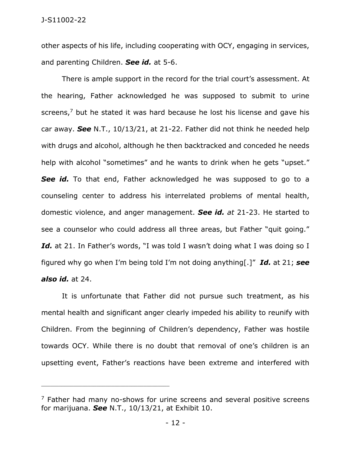other aspects of his life, including cooperating with OCY, engaging in services, and parenting Children. *See id.* at 5-6.

There is ample support in the record for the trial court's assessment. At the hearing, Father acknowledged he was supposed to submit to urine screens,<sup>7</sup> but he stated it was hard because he lost his license and gave his car away. *See* N.T., 10/13/21, at 21-22. Father did not think he needed help with drugs and alcohol, although he then backtracked and conceded he needs help with alcohol "sometimes" and he wants to drink when he gets "upset." **See id.** To that end, Father acknowledged he was supposed to go to a counseling center to address his interrelated problems of mental health, domestic violence, and anger management. *See id. at* 21-23. He started to see a counselor who could address all three areas, but Father "quit going." Id. at 21. In Father's words, "I was told I wasn't doing what I was doing so I figured why go when I'm being told I'm not doing anything[.]" *Id.* at 21; *see also id.* at 24.

# It is unfortunate that Father did not pursue such treatment, as his mental health and significant anger clearly impeded his ability to reunify with Children. From the beginning of Children's dependency, Father was hostile towards OCY. While there is no doubt that removal of one's children is an upsetting event, Father's reactions have been extreme and interfered with

\_\_\_\_\_\_\_\_\_\_\_\_\_\_\_\_\_\_\_\_\_\_\_\_\_\_\_\_\_\_\_\_\_\_\_\_\_\_\_\_\_\_\_\_

 $<sup>7</sup>$  Father had many no-shows for urine screens and several positive screens</sup> for marijuana. *See* N.T., 10/13/21, at Exhibit 10.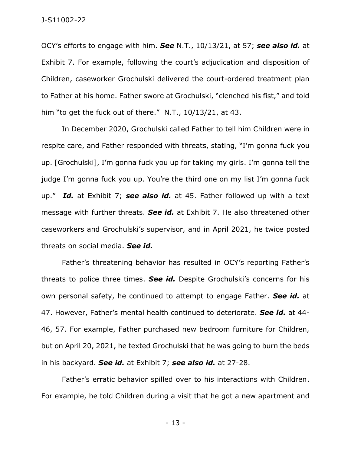#### J-S11002-22

OCY's efforts to engage with him. *See* N.T., 10/13/21, at 57; *see also id.* at Exhibit 7. For example, following the court's adjudication and disposition of Children, caseworker Grochulski delivered the court-ordered treatment plan to Father at his home. Father swore at Grochulski, "clenched his fist," and told him "to get the fuck out of there." N.T., 10/13/21, at 43.

In December 2020, Grochulski called Father to tell him Children were in respite care, and Father responded with threats, stating, "I'm gonna fuck you up. [Grochulski], I'm gonna fuck you up for taking my girls. I'm gonna tell the judge I'm gonna fuck you up. You're the third one on my list I'm gonna fuck up." *Id.* at Exhibit 7; *see also id.* at 45. Father followed up with a text message with further threats. *See id.* at Exhibit 7. He also threatened other caseworkers and Grochulski's supervisor, and in April 2021, he twice posted threats on social media. *See id.* 

Father's threatening behavior has resulted in OCY's reporting Father's threats to police three times. *See id.* Despite Grochulski's concerns for his own personal safety, he continued to attempt to engage Father. *See id.* at 47. However, Father's mental health continued to deteriorate. *See id.* at 44- 46, 57. For example, Father purchased new bedroom furniture for Children, but on April 20, 2021, he texted Grochulski that he was going to burn the beds in his backyard. *See id.* at Exhibit 7; *see also id.* at 27-28.

Father's erratic behavior spilled over to his interactions with Children. For example, he told Children during a visit that he got a new apartment and

- 13 -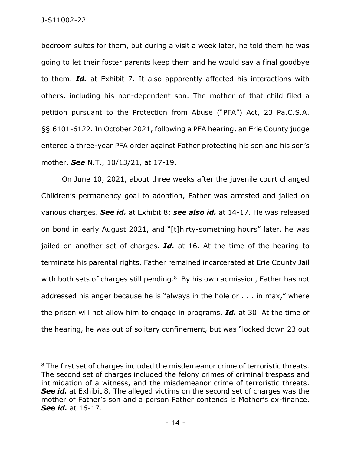bedroom suites for them, but during a visit a week later, he told them he was going to let their foster parents keep them and he would say a final goodbye to them. *Id.* at Exhibit 7. It also apparently affected his interactions with others, including his non-dependent son. The mother of that child filed a petition pursuant to the Protection from Abuse ("PFA") Act, 23 Pa.C.S.A. §§ 6101-6122. In October 2021, following a PFA hearing, an Erie County judge entered a three-year PFA order against Father protecting his son and his son's mother. *See* N.T., 10/13/21, at 17-19.

On June 10, 2021, about three weeks after the juvenile court changed Children's permanency goal to adoption, Father was arrested and jailed on various charges. *See id.* at Exhibit 8; *see also id.* at 14-17. He was released on bond in early August 2021, and "[t]hirty-something hours" later, he was jailed on another set of charges. *Id.* at 16. At the time of the hearing to terminate his parental rights, Father remained incarcerated at Erie County Jail with both sets of charges still pending.<sup>8</sup> By his own admission, Father has not addressed his anger because he is "always in the hole or . . . in max," where the prison will not allow him to engage in programs. *Id.* at 30. At the time of the hearing, he was out of solitary confinement, but was "locked down 23 out

<sup>&</sup>lt;sup>8</sup> The first set of charges included the misdemeanor crime of terroristic threats. The second set of charges included the felony crimes of criminal trespass and intimidation of a witness, and the misdemeanor crime of terroristic threats. **See id.** at Exhibit 8. The alleged victims on the second set of charges was the mother of Father's son and a person Father contends is Mother's ex-finance. *See id.* at 16-17.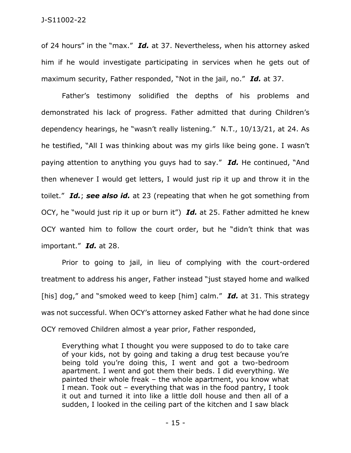of 24 hours" in the "max." *Id.* at 37. Nevertheless, when his attorney asked him if he would investigate participating in services when he gets out of maximum security, Father responded, "Not in the jail, no." *Id.* at 37.

Father's testimony solidified the depths of his problems and demonstrated his lack of progress. Father admitted that during Children's dependency hearings, he "wasn't really listening." N.T., 10/13/21, at 24. As he testified, "All I was thinking about was my girls like being gone. I wasn't paying attention to anything you guys had to say." *Id.* He continued, "And then whenever I would get letters, I would just rip it up and throw it in the toilet." *Id.*; *see also id.* at 23 (repeating that when he got something from OCY, he "would just rip it up or burn it") *Id.* at 25. Father admitted he knew OCY wanted him to follow the court order, but he "didn't think that was important." *Id.* at 28.

Prior to going to jail, in lieu of complying with the court-ordered treatment to address his anger, Father instead "just stayed home and walked [his] dog," and "smoked weed to keep [him] calm." **Id.** at 31. This strategy was not successful. When OCY's attorney asked Father what he had done since OCY removed Children almost a year prior, Father responded,

Everything what I thought you were supposed to do to take care of your kids, not by going and taking a drug test because you're being told you're doing this, I went and got a two-bedroom apartment. I went and got them their beds. I did everything. We painted their whole freak – the whole apartment, you know what I mean. Took out – everything that was in the food pantry, I took it out and turned it into like a little doll house and then all of a sudden, I looked in the ceiling part of the kitchen and I saw black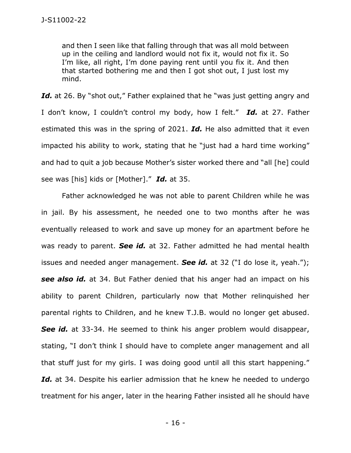and then I seen like that falling through that was all mold between up in the ceiling and landlord would not fix it, would not fix it. So I'm like, all right, I'm done paying rent until you fix it. And then that started bothering me and then I got shot out, I just lost my mind.

Id. at 26. By "shot out," Father explained that he "was just getting angry and I don't know, I couldn't control my body, how I felt." *Id.* at 27. Father estimated this was in the spring of 2021. *Id.* He also admitted that it even impacted his ability to work, stating that he "just had a hard time working" and had to quit a job because Mother's sister worked there and "all [he] could see was [his] kids or [Mother]." *Id.* at 35.

Father acknowledged he was not able to parent Children while he was in jail. By his assessment, he needed one to two months after he was eventually released to work and save up money for an apartment before he was ready to parent. *See id.* at 32. Father admitted he had mental health issues and needed anger management. *See id.* at 32 ("I do lose it, yeah."); *see also id.* at 34. But Father denied that his anger had an impact on his ability to parent Children, particularly now that Mother relinquished her parental rights to Children, and he knew T.J.B. would no longer get abused. **See id.** at 33-34. He seemed to think his anger problem would disappear, stating, "I don't think I should have to complete anger management and all that stuff just for my girls. I was doing good until all this start happening." Id. at 34. Despite his earlier admission that he knew he needed to undergo treatment for his anger, later in the hearing Father insisted all he should have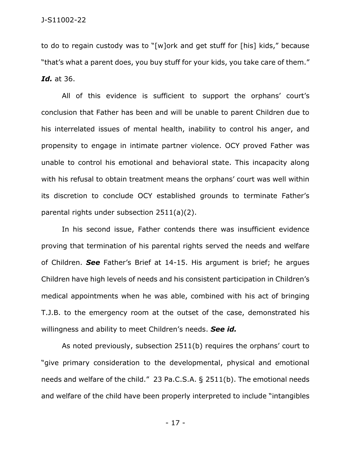to do to regain custody was to "[w]ork and get stuff for [his] kids," because "that's what a parent does, you buy stuff for your kids, you take care of them." *Id.* at 36.

All of this evidence is sufficient to support the orphans' court's conclusion that Father has been and will be unable to parent Children due to his interrelated issues of mental health, inability to control his anger, and propensity to engage in intimate partner violence. OCY proved Father was unable to control his emotional and behavioral state. This incapacity along with his refusal to obtain treatment means the orphans' court was well within its discretion to conclude OCY established grounds to terminate Father's parental rights under subsection 2511(a)(2).

In his second issue, Father contends there was insufficient evidence proving that termination of his parental rights served the needs and welfare of Children. *See* Father's Brief at 14-15. His argument is brief; he argues Children have high levels of needs and his consistent participation in Children's medical appointments when he was able, combined with his act of bringing T.J.B. to the emergency room at the outset of the case, demonstrated his willingness and ability to meet Children's needs. *See id.*

As noted previously, subsection 2511(b) requires the orphans' court to "give primary consideration to the developmental, physical and emotional needs and welfare of the child." 23 Pa.C.S.A. § 2511(b). The emotional needs and welfare of the child have been properly interpreted to include "intangibles

- 17 -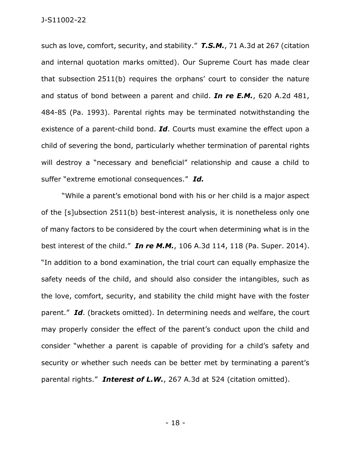such as love, comfort, security, and stability." *T.S.M.*, 71 A.3d at 267 (citation and internal quotation marks omitted). Our Supreme Court has made clear that subsection 2511(b) requires the orphans' court to consider the nature and status of bond between a parent and child. *In re E.M.*, 620 A.2d 481, 484-85 (Pa. 1993). Parental rights may be terminated notwithstanding the existence of a parent-child bond. *Id*. Courts must examine the effect upon a child of severing the bond, particularly whether termination of parental rights will destroy a "necessary and beneficial" relationship and cause a child to suffer "extreme emotional consequences." *Id.* 

"While a parent's emotional bond with his or her child is a major aspect of the [s]ubsection 2511(b) best-interest analysis, it is nonetheless only one of many factors to be considered by the court when determining what is in the best interest of the child." *In re M.M.*, 106 A.3d 114, 118 (Pa. Super. 2014). "In addition to a bond examination, the trial court can equally emphasize the safety needs of the child, and should also consider the intangibles, such as the love, comfort, security, and stability the child might have with the foster parent." *Id*. (brackets omitted). In determining needs and welfare, the court may properly consider the effect of the parent's conduct upon the child and consider "whether a parent is capable of providing for a child's safety and security or whether such needs can be better met by terminating a parent's parental rights." *Interest of L.W.*, 267 A.3d at 524 (citation omitted).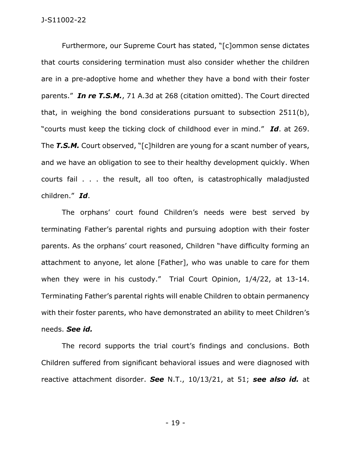Furthermore, our Supreme Court has stated, "[c]ommon sense dictates that courts considering termination must also consider whether the children are in a pre-adoptive home and whether they have a bond with their foster parents." *In re T.S.M.*, 71 A.3d at 268 (citation omitted). The Court directed that, in weighing the bond considerations pursuant to subsection 2511(b), "courts must keep the ticking clock of childhood ever in mind." *Id*. at 269. The **T.S.M.** Court observed, "[c]hildren are young for a scant number of years, and we have an obligation to see to their healthy development quickly. When courts fail . . . the result, all too often, is catastrophically maladjusted children." *Id*.

The orphans' court found Children's needs were best served by terminating Father's parental rights and pursuing adoption with their foster parents. As the orphans' court reasoned, Children "have difficulty forming an attachment to anyone, let alone [Father], who was unable to care for them when they were in his custody." Trial Court Opinion, 1/4/22, at 13-14. Terminating Father's parental rights will enable Children to obtain permanency with their foster parents, who have demonstrated an ability to meet Children's needs. *See id.*

The record supports the trial court's findings and conclusions. Both Children suffered from significant behavioral issues and were diagnosed with reactive attachment disorder. *See* N.T., 10/13/21, at 51; *see also id.* at

- 19 -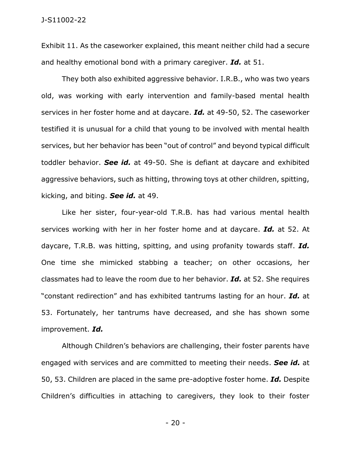Exhibit 11. As the caseworker explained, this meant neither child had a secure and healthy emotional bond with a primary caregiver. *Id.* at 51.

They both also exhibited aggressive behavior. I.R.B., who was two years old, was working with early intervention and family-based mental health services in her foster home and at daycare. *Id.* at 49-50, 52. The caseworker testified it is unusual for a child that young to be involved with mental health services, but her behavior has been "out of control" and beyond typical difficult toddler behavior. *See id.* at 49-50. She is defiant at daycare and exhibited aggressive behaviors, such as hitting, throwing toys at other children, spitting, kicking, and biting. *See id.* at 49.

Like her sister, four-year-old T.R.B. has had various mental health services working with her in her foster home and at daycare. *Id.* at 52. At daycare, T.R.B. was hitting, spitting, and using profanity towards staff. *Id.*  One time she mimicked stabbing a teacher; on other occasions, her classmates had to leave the room due to her behavior. *Id.* at 52. She requires "constant redirection" and has exhibited tantrums lasting for an hour. *Id.* at 53. Fortunately, her tantrums have decreased, and she has shown some improvement. *Id.* 

Although Children's behaviors are challenging, their foster parents have engaged with services and are committed to meeting their needs. *See id.* at 50, 53. Children are placed in the same pre-adoptive foster home. *Id.* Despite Children's difficulties in attaching to caregivers, they look to their foster

- 20 -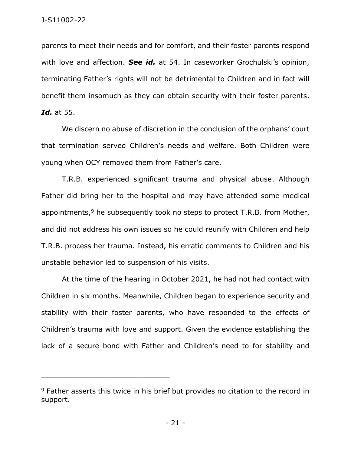parents to meet their needs and for comfort, and their foster parents respond with love and affection. *See id.* at 54. In caseworker Grochulski's opinion, terminating Father's rights will not be detrimental to Children and in fact will benefit them insomuch as they can obtain security with their foster parents. *Id.* at 55.

We discern no abuse of discretion in the conclusion of the orphans' court that termination served Children's needs and welfare. Both Children were young when OCY removed them from Father's care.

T.R.B. experienced significant trauma and physical abuse. Although Father did bring her to the hospital and may have attended some medical appointments, $9$  he subsequently took no steps to protect T.R.B. from Mother, and did not address his own issues so he could reunify with Children and help T.R.B. process her trauma. Instead, his erratic comments to Children and his unstable behavior led to suspension of his visits.

At the time of the hearing in October 2021, he had not had contact with Children in six months. Meanwhile, Children began to experience security and stability with their foster parents, who have responded to the effects of Children's trauma with love and support. Given the evidence establishing the lack of a secure bond with Father and Children's need to for stability and

\_\_\_\_\_\_\_\_\_\_\_\_\_\_\_\_\_\_\_\_\_\_\_\_\_\_\_\_\_\_\_\_\_\_\_\_\_\_\_\_\_\_\_\_

<sup>&</sup>lt;sup>9</sup> Father asserts this twice in his brief but provides no citation to the record in support.